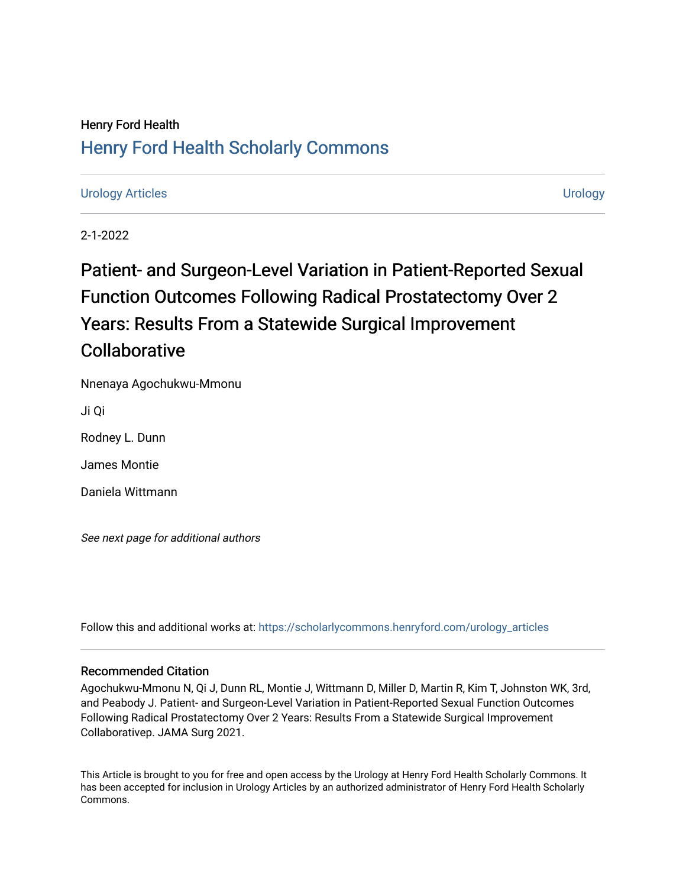# Henry Ford Health [Henry Ford Health Scholarly Commons](https://scholarlycommons.henryford.com/)

# [Urology Articles](https://scholarlycommons.henryford.com/urology_articles) [Urology](https://scholarlycommons.henryford.com/urology)

2-1-2022

Patient- and Surgeon-Level Variation in Patient-Reported Sexual Function Outcomes Following Radical Prostatectomy Over 2 Years: Results From a Statewide Surgical Improvement **Collaborative** 

Nnenaya Agochukwu-Mmonu

Ji Qi

Rodney L. Dunn

James Montie

Daniela Wittmann

See next page for additional authors

Follow this and additional works at: [https://scholarlycommons.henryford.com/urology\\_articles](https://scholarlycommons.henryford.com/urology_articles?utm_source=scholarlycommons.henryford.com%2Furology_articles%2F437&utm_medium=PDF&utm_campaign=PDFCoverPages)

### Recommended Citation

Agochukwu-Mmonu N, Qi J, Dunn RL, Montie J, Wittmann D, Miller D, Martin R, Kim T, Johnston WK, 3rd, and Peabody J. Patient- and Surgeon-Level Variation in Patient-Reported Sexual Function Outcomes Following Radical Prostatectomy Over 2 Years: Results From a Statewide Surgical Improvement Collaborativep. JAMA Surg 2021.

This Article is brought to you for free and open access by the Urology at Henry Ford Health Scholarly Commons. It has been accepted for inclusion in Urology Articles by an authorized administrator of Henry Ford Health Scholarly Commons.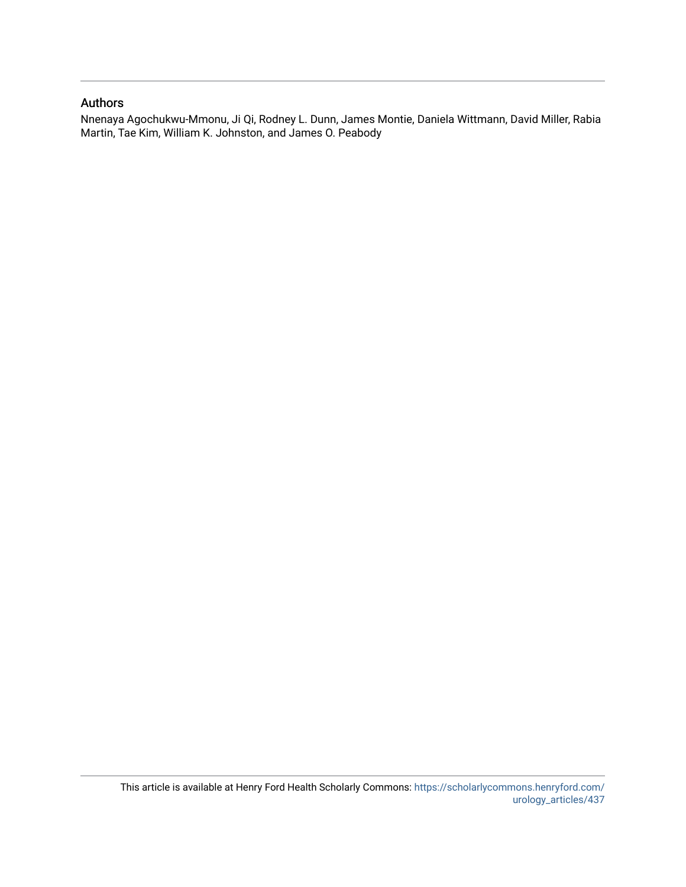## Authors

Nnenaya Agochukwu-Mmonu, Ji Qi, Rodney L. Dunn, James Montie, Daniela Wittmann, David Miller, Rabia Martin, Tae Kim, William K. Johnston, and James O. Peabody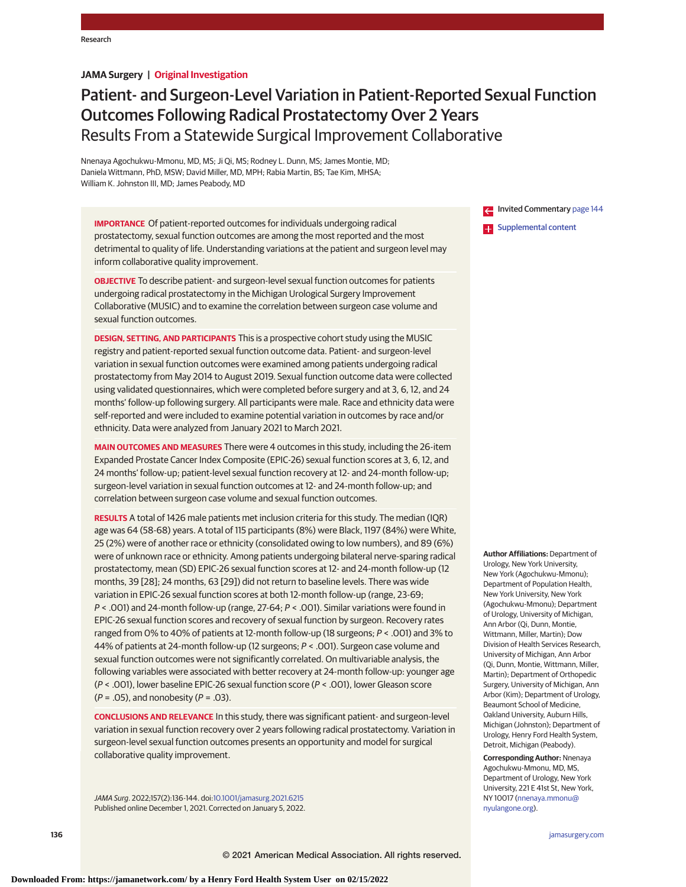### **JAMA Surgery | Original Investigation**

# Patient- and Surgeon-Level Variation in Patient-Reported Sexual Function Outcomes Following Radical Prostatectomy Over 2 Years Results From a Statewide Surgical Improvement Collaborative

Nnenaya Agochukwu-Mmonu, MD, MS; Ji Qi, MS; Rodney L. Dunn, MS; James Montie, MD; Daniela Wittmann, PhD, MSW; David Miller, MD, MPH; Rabia Martin, BS; Tae Kim, MHSA; William K. Johnston III, MD; James Peabody, MD

**IMPORTANCE** Of patient-reported outcomes for individuals undergoing radical prostatectomy, sexual function outcomes are among the most reported and the most detrimental to quality of life. Understanding variations at the patient and surgeon level may inform collaborative quality improvement.

**OBJECTIVE** To describe patient- and surgeon-level sexual function outcomes for patients undergoing radical prostatectomy in the Michigan Urological Surgery Improvement Collaborative (MUSIC) and to examine the correlation between surgeon case volume and sexual function outcomes.

**DESIGN, SETTING, AND PARTICIPANTS** This is a prospective cohort study using the MUSIC registry and patient-reported sexual function outcome data. Patient- and surgeon-level variation in sexual function outcomes were examined among patients undergoing radical prostatectomy from May 2014 to August 2019. Sexual function outcome data were collected using validated questionnaires, which were completed before surgery and at 3, 6, 12, and 24 months' follow-up following surgery. All participants were male. Race and ethnicity data were self-reported and were included to examine potential variation in outcomes by race and/or ethnicity. Data were analyzed from January 2021 to March 2021.

**MAIN OUTCOMES AND MEASURES** There were 4 outcomes in this study, including the 26-item Expanded Prostate Cancer Index Composite (EPIC-26) sexual function scores at 3, 6, 12, and 24 months' follow-up; patient-level sexual function recovery at 12- and 24-month follow-up; surgeon-level variation in sexual function outcomes at 12- and 24-month follow-up; and correlation between surgeon case volume and sexual function outcomes.

**RESULTS** A total of 1426 male patients met inclusion criteria for this study. The median (IQR) age was 64 (58-68) years. A total of 115 participants (8%) were Black, 1197 (84%) were White, 25 (2%) were of another race or ethnicity (consolidated owing to low numbers), and 89 (6%) were of unknown race or ethnicity. Among patients undergoing bilateral nerve-sparing radical prostatectomy, mean (SD) EPIC-26 sexual function scores at 12- and 24-month follow-up (12 months, 39 [28]; 24 months, 63 [29]) did not return to baseline levels. There was wide variation in EPIC-26 sexual function scores at both 12-month follow-up (range, 23-69; P < .001) and 24-month follow-up (range, 27-64; P < .001). Similar variations were found in EPIC-26 sexual function scores and recovery of sexual function by surgeon. Recovery rates ranged from 0% to 40% of patients at 12-month follow-up (18 surgeons; P < .001) and 3% to 44% of patients at 24-month follow-up (12 surgeons; P < .001). Surgeon case volume and sexual function outcomes were not significantly correlated. On multivariable analysis, the following variables were associated with better recovery at 24-month follow-up: younger age (P < .001), lower baseline EPIC-26 sexual function score (P < .001), lower Gleason score  $(P = .05)$ , and nonobesity  $(P = .03)$ .

**CONCLUSIONS AND RELEVANCE** In this study, there was significant patient- and surgeon-level variation in sexual function recovery over 2 years following radical prostatectomy. Variation in surgeon-level sexual function outcomes presents an opportunity and model for surgical collaborative quality improvement.

JAMA Surg. 2022;157(2):136-144. doi[:10.1001/jamasurg.2021.6215](https://jamanetwork.com/journals/jama/fullarticle/10.1001/jamasurg.2021.6215?utm_campaign=articlePDF%26utm_medium=articlePDFlink%26utm_source=articlePDF%26utm_content=jamasurg.2021.6215) Published online December 1, 2021. Corrected on January 5, 2022. Invited Commentary [page 144](https://jamanetwork.com/journals/jama/fullarticle/10.1001/jamasurg.2021.6257?utm_campaign=articlePDF%26utm_medium=articlePDFlink%26utm_source=articlePDF%26utm_content=jamasurg.2021.6215) **Examplemental content** 

**Author Affiliations:** Department of Urology, New York University, New York (Agochukwu-Mmonu); Department of Population Health, New York University, New York (Agochukwu-Mmonu); Department of Urology, University of Michigan, Ann Arbor (Qi, Dunn, Montie, Wittmann, Miller, Martin); Dow Division of Health Services Research, University of Michigan, Ann Arbor (Qi, Dunn, Montie, Wittmann, Miller, Martin); Department of Orthopedic Surgery, University of Michigan, Ann Arbor (Kim); Department of Urology, Beaumont School of Medicine, Oakland University, Auburn Hills, Michigan (Johnston); Department of Urology, Henry Ford Health System, Detroit, Michigan (Peabody).

**Corresponding Author:** Nnenaya Agochukwu-Mmonu, MD, MS, Department of Urology, New York University, 221 E 41st St, New York, NY 10017 [\(nnenaya.mmonu@](mailto:nnenaya.mmonu@nyulangone.org) [nyulangone.org\)](mailto:nnenaya.mmonu@nyulangone.org).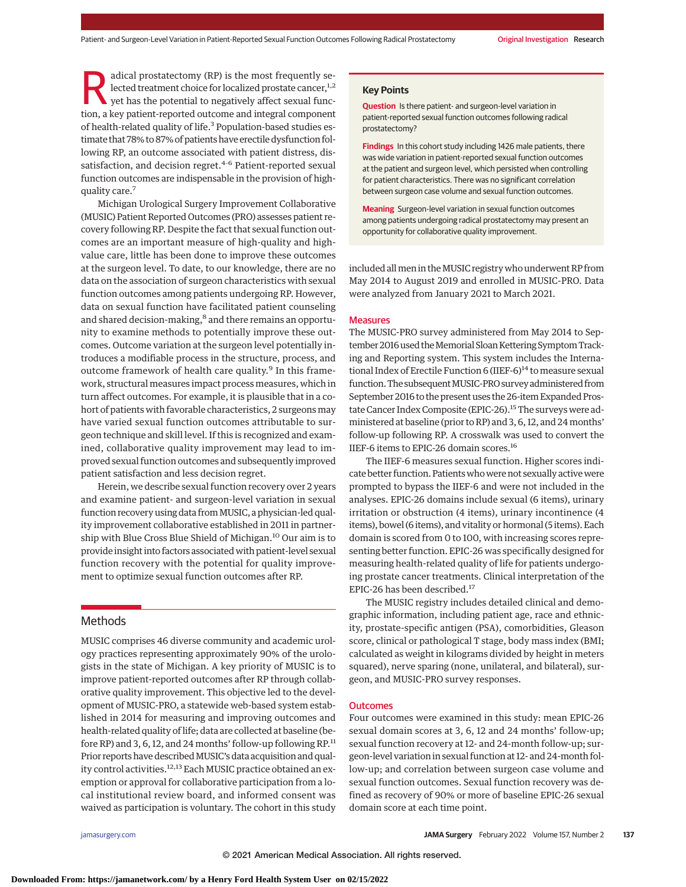adical prostatectomy (RP) is the most frequently selected treatment choice for localized prostate cancer, $1,2$ yet has the potential to negatively affect sexual function, a key patient-reported outcome and integral component of health-related quality of life.<sup>3</sup> Population-based studies estimate that 78% to 87% of patients have erectile dysfunction following RP, an outcome associated with patient distress, dissatisfaction, and decision regret.<sup>4-6</sup> Patient-reported sexual function outcomes are indispensable in the provision of highquality care.7

Michigan Urological Surgery Improvement Collaborative (MUSIC) Patient Reported Outcomes (PRO) assesses patient recovery following RP. Despite the fact that sexual function outcomes are an important measure of high-quality and highvalue care, little has been done to improve these outcomes at the surgeon level. To date, to our knowledge, there are no data on the association of surgeon characteristics with sexual function outcomes among patients undergoing RP. However, data on sexual function have facilitated patient counseling and shared decision-making,<sup>8</sup> and there remains an opportunity to examine methods to potentially improve these outcomes. Outcome variation at the surgeon level potentially introduces a modifiable process in the structure, process, and outcome framework of health care quality.<sup>9</sup> In this framework, structural measures impact process measures, which in turn affect outcomes. For example, it is plausible that in a cohort of patients with favorable characteristics, 2 surgeons may have varied sexual function outcomes attributable to surgeon technique and skill level. If this is recognized and examined, collaborative quality improvement may lead to improved sexual function outcomes and subsequently improved patient satisfaction and less decision regret.

Herein, we describe sexual function recovery over 2 years and examine patient- and surgeon-level variation in sexual function recovery using data from MUSIC, a physician-led quality improvement collaborative established in 2011 in partnership with Blue Cross Blue Shield of Michigan.<sup>10</sup> Our aim is to provide insight into factors associated with patient-level sexual function recovery with the potential for quality improvement to optimize sexual function outcomes after RP.

#### Methods

MUSIC comprises 46 diverse community and academic urology practices representing approximately 90% of the urologists in the state of Michigan. A key priority of MUSIC is to improve patient-reported outcomes after RP through collaborative quality improvement. This objective led to the development of MUSIC-PRO, a statewide web-based system established in 2014 for measuring and improving outcomes and health-related quality of life; data are collected at baseline (before RP) and 3, 6, 12, and 24 months' follow-up following RP.<sup>11</sup> Prior reports have described MUSIC's data acquisition and quality control activities.<sup>12,13</sup> Each MUSIC practice obtained an exemption or approval for collaborative participation from a local institutional review board, and informed consent was waived as participation is voluntary. The cohort in this study

#### **Key Points**

**Question** Is there patient- and surgeon-level variation in patient-reported sexual function outcomes following radical prostatectomy?

**Findings** In this cohort study including 1426 male patients, there was wide variation in patient-reported sexual function outcomes at the patient and surgeon level, which persisted when controlling for patient characteristics. There was no significant correlation between surgeon case volume and sexual function outcomes.

**Meaning** Surgeon-level variation in sexual function outcomes among patients undergoing radical prostatectomy may present an opportunity for collaborative quality improvement.

included all men in the MUSIC registry who underwent RP from May 2014 to August 2019 and enrolled in MUSIC-PRO. Data were analyzed from January 2021 to March 2021.

#### Measures

The MUSIC-PRO survey administered from May 2014 to September 2016 used the Memorial Sloan Kettering Symptom Tracking and Reporting system. This system includes the International Index of Erectile Function 6 (IIEF-6)<sup>14</sup> to measure sexual function. The subsequent MUSIC-PRO survey administered from September 2016 to the present uses the 26-item Expanded Prostate Cancer Index Composite (EPIC-26).<sup>15</sup> The surveys were administered at baseline (prior to RP) and 3, 6, 12, and 24months' follow-up following RP. A crosswalk was used to convert the IIEF-6 items to EPIC-26 domain scores.16

The IIEF-6 measures sexual function. Higher scores indicate better function. Patients who were not sexually active were prompted to bypass the IIEF-6 and were not included in the analyses. EPIC-26 domains include sexual (6 items), urinary irritation or obstruction (4 items), urinary incontinence (4 items), bowel (6 items), and vitality or hormonal (5 items). Each domain is scored from 0 to 100, with increasing scores representing better function. EPIC-26 was specifically designed for measuring health-related quality of life for patients undergoing prostate cancer treatments. Clinical interpretation of the EPIC-26 has been described.<sup>17</sup>

The MUSIC registry includes detailed clinical and demographic information, including patient age, race and ethnicity, prostate-specific antigen (PSA), comorbidities, Gleason score, clinical or pathological T stage, body mass index (BMI; calculated as weight in kilograms divided by height in meters squared), nerve sparing (none, unilateral, and bilateral), surgeon, and MUSIC-PRO survey responses.

#### **Outcomes**

Four outcomes were examined in this study: mean EPIC-26 sexual domain scores at 3, 6, 12 and 24 months' follow-up; sexual function recovery at 12- and 24-month follow-up; surgeon-level variation in sexual function at 12- and 24-month follow-up; and correlation between surgeon case volume and sexual function outcomes. Sexual function recovery was defined as recovery of 90% or more of baseline EPIC-26 sexual domain score at each time point.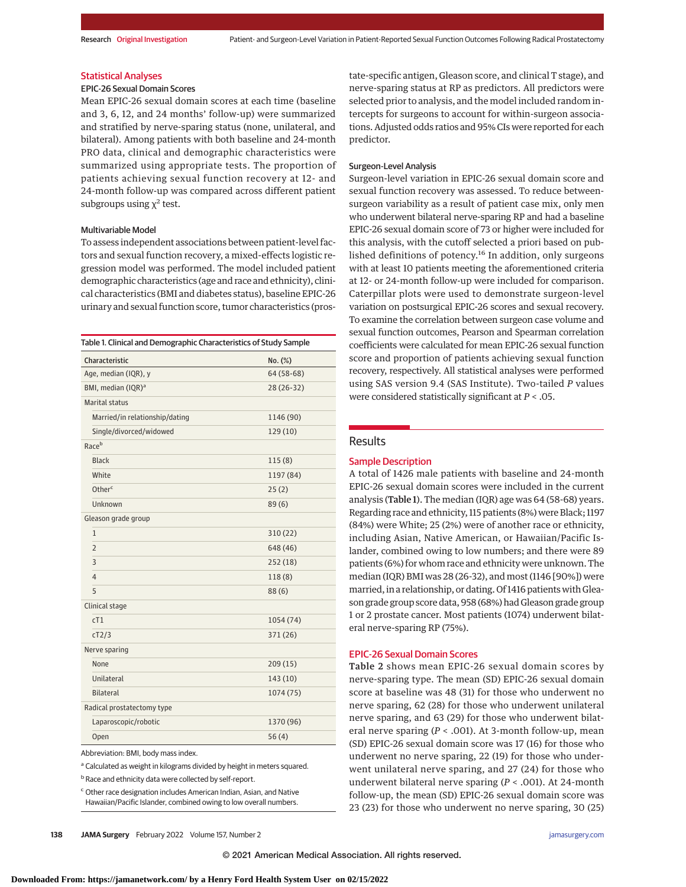#### Statistical Analyses

#### EPIC-26 Sexual Domain Scores

Mean EPIC-26 sexual domain scores at each time (baseline and 3, 6, 12, and 24 months' follow-up) were summarized and stratified by nerve-sparing status (none, unilateral, and bilateral). Among patients with both baseline and 24-month PRO data, clinical and demographic characteristics were summarized using appropriate tests. The proportion of patients achieving sexual function recovery at 12- and 24-month follow-up was compared across different patient subgroups using  $\chi^2$  test.

#### Multivariable Model

To assess independent associations between patient-level factors and sexual function recovery, a mixed-effects logistic regression model was performed. The model included patient demographic characteristics (age and race and ethnicity), clinical characteristics (BMI and diabetes status), baseline EPIC-26 urinary and sexual function score, tumor characteristics (pros-

| Characteristic<br>No. (%)<br>Age, median (IQR), y<br>64 (58-68)<br>BMI, median (IQR) <sup>a</sup><br>28 (26-32)<br>Marital status<br>Married/in relationship/dating<br>1146 (90)<br>Single/divorced/widowed<br>129 (10)<br>Raceb<br><b>Black</b><br>115(8)<br>White<br>1197 (84)<br>Otherc<br>25(2)<br>Unknown<br>89(6)<br>Gleason grade group<br>$\mathbf{1}$<br>310(22)<br>$\overline{2}$<br>648 (46)<br>3<br>252 (18)<br>$\overline{4}$<br>118(8)<br>5<br>88(6)<br>Clinical stage<br>cT1<br>1054 (74)<br>cT2/3<br>371 (26)<br>Nerve sparing<br>None<br>209 (15)<br>Unilateral<br>143 (10) | Table 1. Clinical and Demographic Characteristics of Study Sample |  |  |  |
|----------------------------------------------------------------------------------------------------------------------------------------------------------------------------------------------------------------------------------------------------------------------------------------------------------------------------------------------------------------------------------------------------------------------------------------------------------------------------------------------------------------------------------------------------------------------------------------------|-------------------------------------------------------------------|--|--|--|
|                                                                                                                                                                                                                                                                                                                                                                                                                                                                                                                                                                                              |                                                                   |  |  |  |
|                                                                                                                                                                                                                                                                                                                                                                                                                                                                                                                                                                                              |                                                                   |  |  |  |
|                                                                                                                                                                                                                                                                                                                                                                                                                                                                                                                                                                                              |                                                                   |  |  |  |
|                                                                                                                                                                                                                                                                                                                                                                                                                                                                                                                                                                                              |                                                                   |  |  |  |
|                                                                                                                                                                                                                                                                                                                                                                                                                                                                                                                                                                                              |                                                                   |  |  |  |
|                                                                                                                                                                                                                                                                                                                                                                                                                                                                                                                                                                                              |                                                                   |  |  |  |
|                                                                                                                                                                                                                                                                                                                                                                                                                                                                                                                                                                                              |                                                                   |  |  |  |
|                                                                                                                                                                                                                                                                                                                                                                                                                                                                                                                                                                                              |                                                                   |  |  |  |
|                                                                                                                                                                                                                                                                                                                                                                                                                                                                                                                                                                                              |                                                                   |  |  |  |
|                                                                                                                                                                                                                                                                                                                                                                                                                                                                                                                                                                                              |                                                                   |  |  |  |
|                                                                                                                                                                                                                                                                                                                                                                                                                                                                                                                                                                                              |                                                                   |  |  |  |
|                                                                                                                                                                                                                                                                                                                                                                                                                                                                                                                                                                                              |                                                                   |  |  |  |
|                                                                                                                                                                                                                                                                                                                                                                                                                                                                                                                                                                                              |                                                                   |  |  |  |
|                                                                                                                                                                                                                                                                                                                                                                                                                                                                                                                                                                                              |                                                                   |  |  |  |
|                                                                                                                                                                                                                                                                                                                                                                                                                                                                                                                                                                                              |                                                                   |  |  |  |
|                                                                                                                                                                                                                                                                                                                                                                                                                                                                                                                                                                                              |                                                                   |  |  |  |
|                                                                                                                                                                                                                                                                                                                                                                                                                                                                                                                                                                                              |                                                                   |  |  |  |
|                                                                                                                                                                                                                                                                                                                                                                                                                                                                                                                                                                                              |                                                                   |  |  |  |
|                                                                                                                                                                                                                                                                                                                                                                                                                                                                                                                                                                                              |                                                                   |  |  |  |
|                                                                                                                                                                                                                                                                                                                                                                                                                                                                                                                                                                                              |                                                                   |  |  |  |
|                                                                                                                                                                                                                                                                                                                                                                                                                                                                                                                                                                                              |                                                                   |  |  |  |
|                                                                                                                                                                                                                                                                                                                                                                                                                                                                                                                                                                                              |                                                                   |  |  |  |
|                                                                                                                                                                                                                                                                                                                                                                                                                                                                                                                                                                                              |                                                                   |  |  |  |
| <b>Bilateral</b><br>1074 (75)                                                                                                                                                                                                                                                                                                                                                                                                                                                                                                                                                                |                                                                   |  |  |  |
| Radical prostatectomy type                                                                                                                                                                                                                                                                                                                                                                                                                                                                                                                                                                   |                                                                   |  |  |  |
| Laparoscopic/robotic<br>1370 (96)                                                                                                                                                                                                                                                                                                                                                                                                                                                                                                                                                            |                                                                   |  |  |  |
| 56(4)<br>Open                                                                                                                                                                                                                                                                                                                                                                                                                                                                                                                                                                                |                                                                   |  |  |  |

Abbreviation: BMI, body mass index.

a Calculated as weight in kilograms divided by height in meters squared.

**b** Race and ethnicity data were collected by self-report.

<sup>c</sup> Other race designation includes American Indian, Asian, and Native Hawaiian/Pacific Islander, combined owing to low overall numbers.

tate-specific antigen, Gleason score, and clinical T stage), and nerve-sparing status at RP as predictors. All predictors were selected prior to analysis, and the model included random intercepts for surgeons to account for within-surgeon associations. Adjusted odds ratios and 95% CIs were reported for each predictor.

#### Surgeon-Level Analysis

Surgeon-level variation in EPIC-26 sexual domain score and sexual function recovery was assessed. To reduce betweensurgeon variability as a result of patient case mix, only men who underwent bilateral nerve-sparing RP and had a baseline EPIC-26 sexual domain score of 73 or higher were included for this analysis, with the cutoff selected a priori based on published definitions of potency.<sup>16</sup> In addition, only surgeons with at least 10 patients meeting the aforementioned criteria at 12- or 24-month follow-up were included for comparison. Caterpillar plots were used to demonstrate surgeon-level variation on postsurgical EPIC-26 scores and sexual recovery. To examine the correlation between surgeon case volume and sexual function outcomes, Pearson and Spearman correlation coefficients were calculated for mean EPIC-26 sexual function score and proportion of patients achieving sexual function recovery, respectively. All statistical analyses were performed using SAS version 9.4 (SAS Institute). Two-tailed *P* values were considered statistically significant at *P* < .05.

#### Results

#### Sample Description

A total of 1426 male patients with baseline and 24-month EPIC-26 sexual domain scores were included in the current analysis (Table 1). The median (IQR) age was 64 (58-68) years. Regarding race and ethnicity, 115 patients (8%) were Black; 1197 (84%) were White; 25 (2%) were of another race or ethnicity, including Asian, Native American, or Hawaiian/Pacific Islander, combined owing to low numbers; and there were 89 patients (6%) for whom race and ethnicity were unknown. The median (IQR) BMI was 28 (26-32), and most (1146 [90%]) were married, in a relationship, or dating. Of 1416 patients with Gleason grade group score data, 958 (68%) had Gleason grade group 1 or 2 prostate cancer. Most patients (1074) underwent bilateral nerve-sparing RP (75%).

#### EPIC-26 Sexual Domain Scores

Table 2 shows mean EPIC-26 sexual domain scores by nerve-sparing type. The mean (SD) EPIC-26 sexual domain score at baseline was 48 (31) for those who underwent no nerve sparing, 62 (28) for those who underwent unilateral nerve sparing, and 63 (29) for those who underwent bilateral nerve sparing (*P* < .001). At 3-month follow-up, mean (SD) EPIC-26 sexual domain score was 17 (16) for those who underwent no nerve sparing, 22 (19) for those who underwent unilateral nerve sparing, and 27 (24) for those who underwent bilateral nerve sparing (*P* < .001). At 24-month follow-up, the mean (SD) EPIC-26 sexual domain score was 23 (23) for those who underwent no nerve sparing, 30 (25)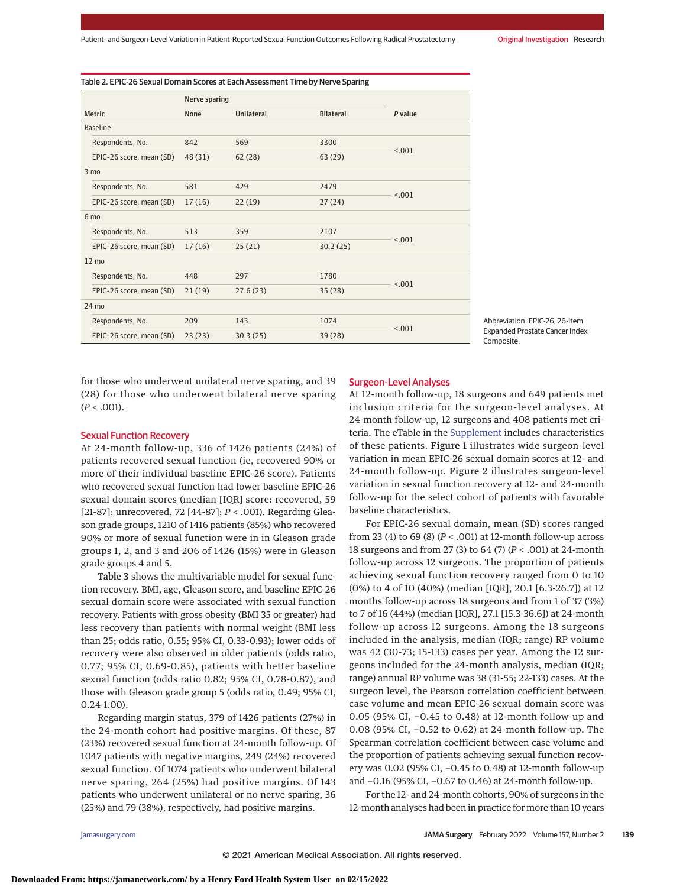|                          | Nerve sparing |                   |                  |         |
|--------------------------|---------------|-------------------|------------------|---------|
| <b>Metric</b>            | None          | <b>Unilateral</b> | <b>Bilateral</b> | P value |
| <b>Baseline</b>          |               |                   |                  |         |
| Respondents, No.         | 842           | 569               | 3300             |         |
| EPIC-26 score, mean (SD) | 48 (31)       | 62(28)            | 63(29)           | < .001  |
| 3 <sub>mo</sub>          |               |                   |                  |         |
| Respondents, No.         | 581           | 429               | 2479             |         |
| EPIC-26 score, mean (SD) | 17(16)        | 22(19)            | 27(24)           | < .001  |
| 6 mo                     |               |                   |                  |         |
| Respondents, No.         | 513           | 359               | 2107             |         |
| EPIC-26 score, mean (SD) | 17(16)        | 25(21)            | 30.2(25)         | < .001  |
| $12 \text{ mo}$          |               |                   |                  |         |
| Respondents, No.         | 448           | 297               | 1780             | < .001  |
| EPIC-26 score, mean (SD) | 21(19)        | 27.6(23)          | 35(28)           |         |
| 24 mo                    |               |                   |                  |         |
| Respondents, No.         | 209           | 143               | 1074             | < .001  |
| EPIC-26 score, mean (SD) | 23(23)        | 30.3(25)          | 39(28)           |         |

Abbreviation: EPIC-26, 26-item Expanded Prostate Cancer Index Composite.

for those who underwent unilateral nerve sparing, and 39 (28) for those who underwent bilateral nerve sparing  $(P < .001)$ .

#### Sexual Function Recovery

At 24-month follow-up, 336 of 1426 patients (24%) of patients recovered sexual function (ie, recovered 90% or more of their individual baseline EPIC-26 score). Patients who recovered sexual function had lower baseline EPIC-26 sexual domain scores (median [IQR] score: recovered, 59 [21-87]; unrecovered, 72 [44-87]; *P* < .001). Regarding Gleason grade groups, 1210 of 1416 patients (85%) who recovered 90% or more of sexual function were in in Gleason grade groups 1, 2, and 3 and 206 of 1426 (15%) were in Gleason grade groups 4 and 5.

Table 3 shows the multivariable model for sexual function recovery. BMI, age, Gleason score, and baseline EPIC-26 sexual domain score were associated with sexual function recovery. Patients with gross obesity (BMI 35 or greater) had less recovery than patients with normal weight (BMI less than 25; odds ratio, 0.55; 95% CI, 0.33-0.93); lower odds of recovery were also observed in older patients (odds ratio, 0.77; 95% CI, 0.69-0.85), patients with better baseline sexual function (odds ratio 0.82; 95% CI, 0.78-0.87), and those with Gleason grade group 5 (odds ratio, 0.49; 95% CI, 0.24-1.00).

Regarding margin status, 379 of 1426 patients (27%) in the 24-month cohort had positive margins. Of these, 87 (23%) recovered sexual function at 24-month follow-up. Of 1047 patients with negative margins, 249 (24%) recovered sexual function. Of 1074 patients who underwent bilateral nerve sparing, 264 (25%) had positive margins. Of 143 patients who underwent unilateral or no nerve sparing, 36 (25%) and 79 (38%), respectively, had positive margins.

#### Surgeon-Level Analyses

At 12-month follow-up, 18 surgeons and 649 patients met inclusion criteria for the surgeon-level analyses. At 24-month follow-up, 12 surgeons and 408 patients met criteria. The eTable in the [Supplement](https://jamanetwork.com/journals/jama/fullarticle/10.1001/jamasurg.2021.6215?utm_campaign=articlePDF%26utm_medium=articlePDFlink%26utm_source=articlePDF%26utm_content=jamasurg.2021.6215) includes characteristics of these patients. Figure 1 illustrates wide surgeon-level variation in mean EPIC-26 sexual domain scores at 12- and 24-month follow-up. Figure 2 illustrates surgeon-level variation in sexual function recovery at 12- and 24-month follow-up for the select cohort of patients with favorable baseline characteristics.

For EPIC-26 sexual domain, mean (SD) scores ranged from 23 (4) to 69 (8) (*P* < .001) at 12-month follow-up across 18 surgeons and from 27 (3) to 64 (7) (*P* < .001) at 24-month follow-up across 12 surgeons. The proportion of patients achieving sexual function recovery ranged from 0 to 10 (0%) to 4 of 10 (40%) (median [IQR], 20.1 [6.3-26.7]) at 12 months follow-up across 18 surgeons and from 1 of 37 (3%) to 7 of 16 (44%) (median [IQR], 27.1 [15.3-36.6]) at 24-month follow-up across 12 surgeons. Among the 18 surgeons included in the analysis, median (IQR; range) RP volume was 42 (30-73; 15-133) cases per year. Among the 12 surgeons included for the 24-month analysis, median (IQR; range) annual RP volume was 38 (31-55; 22-133) cases. At the surgeon level, the Pearson correlation coefficient between case volume and mean EPIC-26 sexual domain score was 0.05 (95% CI, −0.45 to 0.48) at 12-month follow-up and 0.08 (95% CI, −0.52 to 0.62) at 24-month follow-up. The Spearman correlation coefficient between case volume and the proportion of patients achieving sexual function recovery was 0.02 (95% CI, −0.45 to 0.48) at 12-month follow-up and −0.16 (95% CI, −0.67 to 0.46) at 24-month follow-up.

For the 12- and 24-month cohorts, 90% of surgeons in the 12-month analyses had been in practice for more than 10 years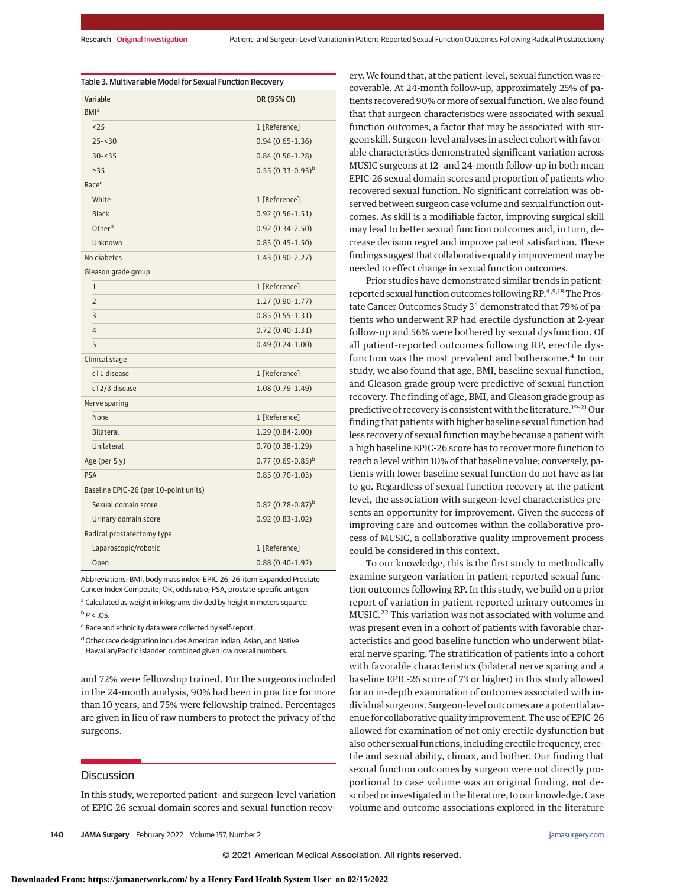| Variable                              | OR (95% CI)           |  |
|---------------------------------------|-----------------------|--|
| BMI <sup>a</sup>                      |                       |  |
| < 25                                  | 1 [Reference]         |  |
| $25 - 30$                             | $0.94(0.65 - 1.36)$   |  |
| $30 - 35$                             | $0.84(0.56 - 1.28)$   |  |
| >35                                   | $0.55(0.33-0.93)^b$   |  |
| Racec                                 |                       |  |
| White                                 | 1 [Reference]         |  |
| <b>Black</b>                          | $0.92(0.56 - 1.51)$   |  |
| Other <sup>d</sup>                    | $0.92(0.34 - 2.50)$   |  |
| Unknown                               | $0.83(0.45 - 1.50)$   |  |
| No diabetes                           | 1.43 (0.90-2.27)      |  |
| Gleason grade group                   |                       |  |
| 1                                     | 1 [Reference]         |  |
| $\overline{2}$                        | $1.27(0.90-1.77)$     |  |
| 3                                     | $0.85(0.55 - 1.31)$   |  |
| $\overline{4}$                        | $0.72(0.40-1.31)$     |  |
| 5                                     | $0.49(0.24-1.00)$     |  |
| Clinical stage                        |                       |  |
| cT1 disease                           | 1 [Reference]         |  |
| cT2/3 disease                         | $1.08(0.79-1.49)$     |  |
| Nerve sparing                         |                       |  |
| None                                  | 1 [Reference]         |  |
| <b>Bilateral</b>                      | 1.29 (0.84-2.00)      |  |
| Unilateral                            | $0.70(0.38-1.29)$     |  |
| Age (per 5 y)                         | $0.77(0.69-0.85)^{b}$ |  |
| <b>PSA</b>                            | $0.85(0.70-1.03)$     |  |
| Baseline EPIC-26 (per 10-point units) |                       |  |
| Sexual domain score                   | $0.82(0.78-0.87)^b$   |  |
| Urinary domain score                  | $0.92(0.83 - 1.02)$   |  |
| Radical prostatectomy type            |                       |  |
| Laparoscopic/robotic                  | 1 [Reference]         |  |
| Open                                  | $0.88(0.40-1.92)$     |  |

Abbreviations: BMI, body mass index; EPIC-26, 26-item Expanded Prostate Cancer Index Composite; OR, odds ratio; PSA, prostate-specific antigen. <sup>a</sup> Calculated as weight in kilograms divided by height in meters squared.

 $b$   $P < .05$ .

<sup>c</sup> Race and ethnicity data were collected by self-report.

d Other race designation includes American Indian, Asian, and Native Hawaiian/Pacific Islander, combined given low overall numbers.

and 72% were fellowship trained. For the surgeons included in the 24-month analysis, 90% had been in practice for more than 10 years, and 75% were fellowship trained. Percentages are given in lieu of raw numbers to protect the privacy of the surgeons.

### **Discussion**

In this study, we reported patient- and surgeon-level variation of EPIC-26 sexual domain scores and sexual function recovery.We found that, at the patient-level, sexual function was recoverable. At 24-month follow-up, approximately 25% of patients recovered 90% or more of sexual function. We also found that that surgeon characteristics were associated with sexual function outcomes, a factor that may be associated with surgeon skill. Surgeon-level analyses in a select cohort with favorable characteristics demonstrated significant variation across MUSIC surgeons at 12- and 24-month follow-up in both mean EPIC-26 sexual domain scores and proportion of patients who recovered sexual function. No significant correlation was observed between surgeon case volume and sexual function outcomes. As skill is a modifiable factor, improving surgical skill may lead to better sexual function outcomes and, in turn, decrease decision regret and improve patient satisfaction. These findings suggest that collaborative quality improvement may be needed to effect change in sexual function outcomes.

Prior studies have demonstrated similar trends in patientreported sexual function outcomes following RP.<sup>4,5,18</sup>The Prostate Cancer Outcomes Study 3<sup>4</sup> demonstrated that 79% of patients who underwent RP had erectile dysfunction at 2-year follow-up and 56% were bothered by sexual dysfunction. Of all patient-reported outcomes following RP, erectile dysfunction was the most prevalent and bothersome.<sup>4</sup> In our study, we also found that age, BMI, baseline sexual function, and Gleason grade group were predictive of sexual function recovery. The finding of age, BMI, and Gleason grade group as predictive of recovery is consistent with the literature.<sup>19-21</sup> Our finding that patients with higher baseline sexual function had less recovery of sexual function may be because a patient with a high baseline EPIC-26 score has to recover more function to reach a level within 10% of that baseline value; conversely, patients with lower baseline sexual function do not have as far to go. Regardless of sexual function recovery at the patient level, the association with surgeon-level characteristics presents an opportunity for improvement. Given the success of improving care and outcomes within the collaborative process of MUSIC, a collaborative quality improvement process could be considered in this context.

To our knowledge, this is the first study to methodically examine surgeon variation in patient-reported sexual function outcomes following RP. In this study, we build on a prior report of variation in patient-reported urinary outcomes in MUSIC.<sup>22</sup> This variation was not associated with volume and was present even in a cohort of patients with favorable characteristics and good baseline function who underwent bilateral nerve sparing. The stratification of patients into a cohort with favorable characteristics (bilateral nerve sparing and a baseline EPIC-26 score of 73 or higher) in this study allowed for an in-depth examination of outcomes associated with individual surgeons. Surgeon-level outcomes are a potential avenue for collaborative quality improvement. The use of EPIC-26 allowed for examination of not only erectile dysfunction but also other sexual functions, including erectile frequency, erectile and sexual ability, climax, and bother. Our finding that sexual function outcomes by surgeon were not directly proportional to case volume was an original finding, not described or investigated in the literature, to our knowledge. Case volume and outcome associations explored in the literature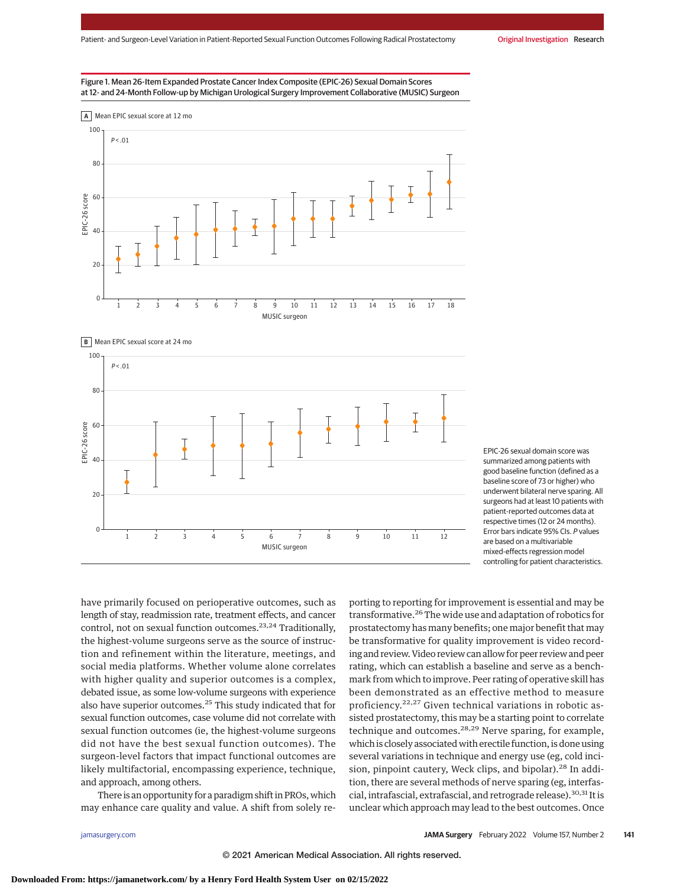







EPIC-26 sexual domain score was summarized among patients with good baseline function (defined as a baseline score of 73 or higher) who underwent bilateral nerve sparing. All surgeons had at least 10 patients with patient-reported outcomes data at respective times (12 or 24 months). Error bars indicate 95% CIs. P values are based on a multivariable mixed-effects regression model controlling for patient characteristics.

have primarily focused on perioperative outcomes, such as length of stay, readmission rate, treatment effects, and cancer control, not on sexual function outcomes.<sup>23,24</sup> Traditionally, the highest-volume surgeons serve as the source of instruction and refinement within the literature, meetings, and social media platforms. Whether volume alone correlates with higher quality and superior outcomes is a complex, debated issue, as some low-volume surgeons with experience also have superior outcomes.25 This study indicated that for sexual function outcomes, case volume did not correlate with sexual function outcomes (ie, the highest-volume surgeons did not have the best sexual function outcomes). The surgeon-level factors that impact functional outcomes are likely multifactorial, encompassing experience, technique, and approach, among others.

There is an opportunity for a paradigm shift in PROs, which may enhance care quality and value. A shift from solely re-

porting to reporting for improvement is essential and may be transformative.<sup>26</sup> The wide use and adaptation of robotics for prostatectomy has many benefits; one major benefit that may be transformative for quality improvement is video recording and review. Video review can allow for peer review and peer rating, which can establish a baseline and serve as a benchmark from which to improve. Peer rating of operative skill has been demonstrated as an effective method to measure proficiency.<sup>22,27</sup> Given technical variations in robotic assisted prostatectomy, this may be a starting point to correlate technique and outcomes.<sup>28,29</sup> Nerve sparing, for example, which is closely associated with erectile function, is done using several variations in technique and energy use (eg, cold incision, pinpoint cautery, Weck clips, and bipolar).<sup>28</sup> In addition, there are several methods of nerve sparing (eg, interfascial, intrafascial, extrafascial, and retrograde release).<sup>30,31</sup> It is unclear which approach may lead to the best outcomes. Once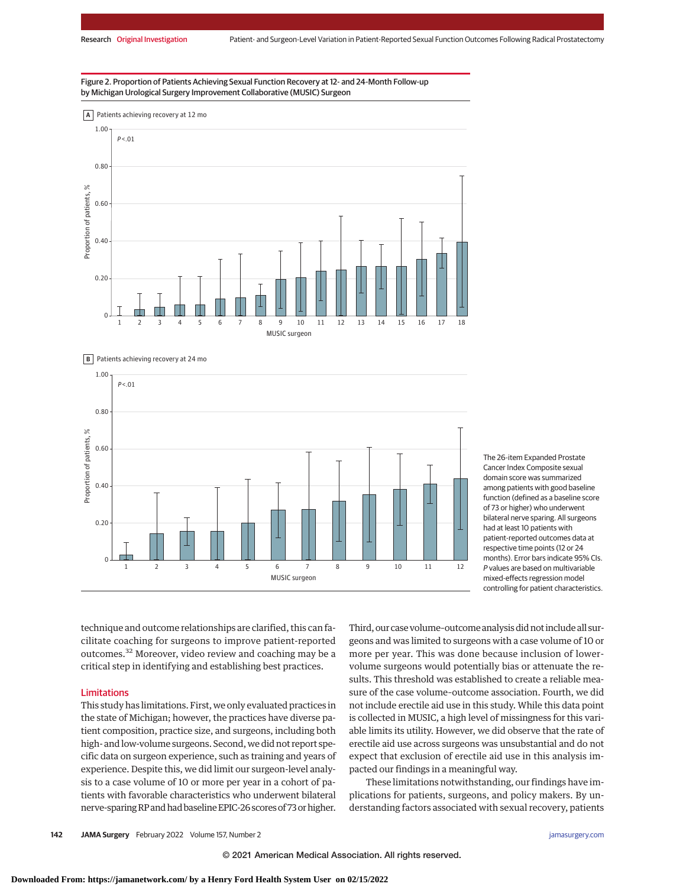Figure 2. Proportion of Patients Achieving Sexual Function Recovery at 12- and 24-Month Follow-up by Michigan Urological Surgery Improvement Collaborative (MUSIC) Surgeon





The 26-item Expanded Prostate Cancer Index Composite sexual domain score was summarized among patients with good baseline function (defined as a baseline score of 73 or higher) who underwent bilateral nerve sparing. All surgeons had at least 10 patients with patient-reported outcomes data at respective time points (12 or 24 months). Error bars indicate 95% CIs. P values are based on multivariable mixed-effects regression model controlling for patient characteristics.

technique and outcome relationships are clarified, this can facilitate coaching for surgeons to improve patient-reported outcomes.<sup>32</sup> Moreover, video review and coaching may be a critical step in identifying and establishing best practices.

#### Limitations

This study has limitations. First, we only evaluated practices in the state of Michigan; however, the practices have diverse patient composition, practice size, and surgeons, including both high- and low-volume surgeons. Second, we did not report specific data on surgeon experience, such as training and years of experience. Despite this, we did limit our surgeon-level analysis to a case volume of 10 or more per year in a cohort of patients with favorable characteristics who underwent bilateral nerve-sparing RP and had baseline EPIC-26 scores of 73 or higher. Third, our case volume–outcome analysis did not include all surgeons and was limited to surgeons with a case volume of 10 or more per year. This was done because inclusion of lowervolume surgeons would potentially bias or attenuate the results. This threshold was established to create a reliable measure of the case volume–outcome association. Fourth, we did not include erectile aid use in this study. While this data point is collected in MUSIC, a high level of missingness for this variable limits its utility. However, we did observe that the rate of erectile aid use across surgeons was unsubstantial and do not expect that exclusion of erectile aid use in this analysis impacted our findings in a meaningful way.

These limitations notwithstanding, our findings have implications for patients, surgeons, and policy makers. By understanding factors associated with sexual recovery, patients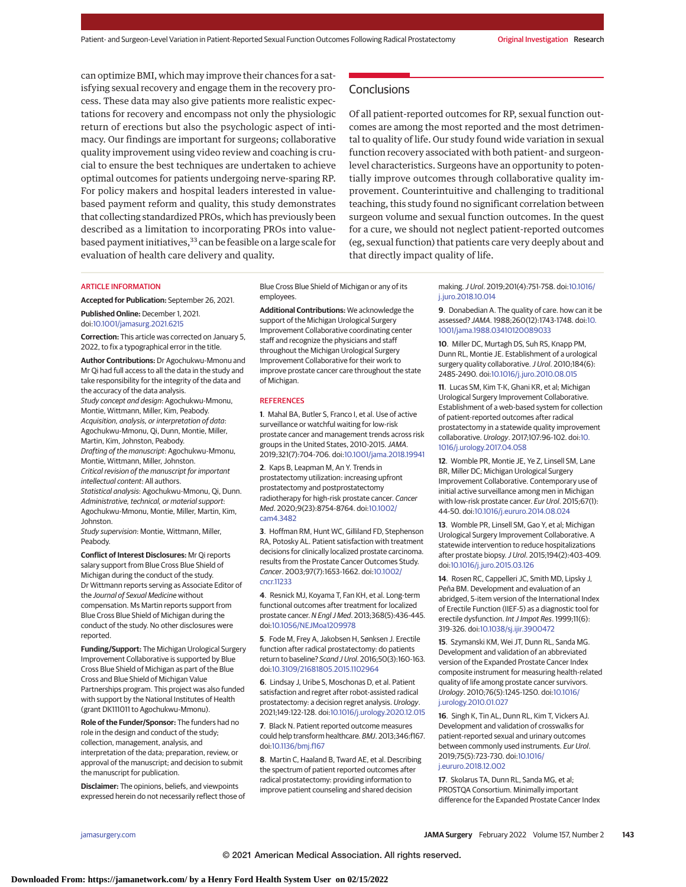can optimize BMI, which may improve their chances for a satisfying sexual recovery and engage them in the recovery process. These data may also give patients more realistic expectations for recovery and encompass not only the physiologic return of erections but also the psychologic aspect of intimacy. Our findings are important for surgeons; collaborative quality improvement using video review and coaching is crucial to ensure the best techniques are undertaken to achieve optimal outcomes for patients undergoing nerve-sparing RP. For policy makers and hospital leaders interested in valuebased payment reform and quality, this study demonstrates that collecting standardized PROs, which has previously been described as a limitation to incorporating PROs into valuebased payment initiatives,<sup>33</sup> can be feasible on a large scale for evaluation of health care delivery and quality.

#### **Conclusions**

Of all patient-reported outcomes for RP, sexual function outcomes are among the most reported and the most detrimental to quality of life. Our study found wide variation in sexual function recovery associated with both patient- and surgeonlevel characteristics. Surgeons have an opportunity to potentially improve outcomes through collaborative quality improvement. Counterintuitive and challenging to traditional teaching, this study found no significant correlation between surgeon volume and sexual function outcomes. In the quest for a cure, we should not neglect patient-reported outcomes (eg, sexual function) that patients care very deeply about and that directly impact quality of life.

#### ARTICLE INFORMATION

**Accepted for Publication:** September 26, 2021.

**Published Online:** December 1, 2021. doi[:10.1001/jamasurg.2021.6215](https://jamanetwork.com/journals/jama/fullarticle/10.1001/jamasurg.2021.6215?utm_campaign=articlePDF%26utm_medium=articlePDFlink%26utm_source=articlePDF%26utm_content=jamasurg.2021.6215)

**Correction:** This article was corrected on January 5, 2022, to fix a typographical error in the title.

**Author Contributions:** Dr Agochukwu-Mmonu and Mr Qi had full access to all the data in the study and take responsibility for the integrity of the data and the accuracy of the data analysis. Study concept and design: Agochukwu-Mmonu, Montie, Wittmann, Miller, Kim, Peabody. Acquisition, analysis, or interpretation of data: Agochukwu-Mmonu, Qi, Dunn, Montie, Miller, Martin, Kim, Johnston, Peabody. Drafting of the manuscript: Agochukwu-Mmonu, Montie, Wittmann, Miller, Johnston. Critical revision of the manuscript for important intellectual content: All authors. Statistical analysis: Agochukwu-Mmonu, Qi, Dunn. Administrative, technical, or material support:

Agochukwu-Mmonu, Montie, Miller, Martin, Kim, Johnston. Study supervision: Montie, Wittmann, Miller,

Peabody.

**Conflict of Interest Disclosures:** Mr Qi reports salary support from Blue Cross Blue Shield of Michigan during the conduct of the study. Dr Wittmann reports serving as Associate Editor of the Journal of Sexual Medicine without compensation. Ms Martin reports support from Blue Cross Blue Shield of Michigan during the conduct of the study. No other disclosures were reported.

**Funding/Support:** The Michigan Urological Surgery Improvement Collaborative is supported by Blue Cross Blue Shield of Michigan as part of the Blue Cross and Blue Shield of Michigan Value Partnerships program. This project was also funded with support by the National Institutes of Health (grant DK111011 to Agochukwu-Mmonu).

**Role of the Funder/Sponsor:** The funders had no role in the design and conduct of the study; collection, management, analysis, and interpretation of the data; preparation, review, or approval of the manuscript; and decision to submit the manuscript for publication.

**Disclaimer:** The opinions, beliefs, and viewpoints expressed herein do not necessarily reflect those of Blue Cross Blue Shield of Michigan or any of its employees.

**Additional Contributions:** We acknowledge the support of the Michigan Urological Surgery Improvement Collaborative coordinating center staff and recognize the physicians and staff throughout the Michigan Urological Surgery Improvement Collaborative for their work to improve prostate cancer care throughout the state of Michigan.

#### **REFERENCES**

**1**. Mahal BA, Butler S, Franco I, et al. Use of active surveillance or watchful waiting for low-risk prostate cancer and management trends across risk groups in the United States, 2010-2015.JAMA. 2019;321(7):704-706. doi[:10.1001/jama.2018.19941](https://jamanetwork.com/journals/jama/fullarticle/10.1001/jama.2018.19941?utm_campaign=articlePDF%26utm_medium=articlePDFlink%26utm_source=articlePDF%26utm_content=jamasurg.2021.6215)

**2**. Kaps B, Leapman M, An Y. Trends in prostatectomy utilization: increasing upfront prostatectomy and postprostatectomy radiotherapy for high-risk prostate cancer. Cancer Med. 2020;9(23):8754-8764. doi[:10.1002/](https://dx.doi.org/10.1002/cam4.3482) [cam4.3482](https://dx.doi.org/10.1002/cam4.3482)

**3**. Hoffman RM, Hunt WC, Gilliland FD, Stephenson RA, Potosky AL. Patient satisfaction with treatment decisions for clinically localized prostate carcinoma. results from the Prostate Cancer Outcomes Study. Cancer. 2003;97(7):1653-1662. doi[:10.1002/](https://dx.doi.org/10.1002/cncr.11233) [cncr.11233](https://dx.doi.org/10.1002/cncr.11233)

**4**. Resnick MJ, Koyama T, Fan KH, et al. Long-term functional outcomes after treatment for localized prostate cancer. N Engl J Med. 2013;368(5):436-445. doi[:10.1056/NEJMoa1209978](https://dx.doi.org/10.1056/NEJMoa1209978)

**5**. Fode M, Frey A, Jakobsen H, Sønksen J. Erectile function after radical prostatectomy: do patients return to baseline? Scand J Urol. 2016;50(3):160-163. doi[:10.3109/21681805.2015.1102964](https://dx.doi.org/10.3109/21681805.2015.1102964)

**6**. Lindsay J, Uribe S, Moschonas D, et al. Patient satisfaction and regret after robot-assisted radical prostatectomy: a decision regret analysis. Urology. 2021;149:122-128. doi[:10.1016/j.urology.2020.12.015](https://dx.doi.org/10.1016/j.urology.2020.12.015)

**7**. Black N. Patient reported outcome measures could help transform healthcare. BMJ. 2013;346:f167. doi[:10.1136/bmj.f167](https://dx.doi.org/10.1136/bmj.f167)

**8**. Martin C, Haaland B, Tward AE, et al. Describing the spectrum of patient reported outcomes after radical prostatectomy: providing information to improve patient counseling and shared decision

making.J Urol. 2019;201(4):751-758. doi[:10.1016/](https://dx.doi.org/10.1016/j.juro.2018.10.014) [j.juro.2018.10.014](https://dx.doi.org/10.1016/j.juro.2018.10.014)

**9**. Donabedian A. The quality of care. how can it be assessed? JAMA. 1988;260(12):1743-1748. doi[:10.](https://jamanetwork.com/journals/jama/fullarticle/10.1001/jama.1988.03410120089033?utm_campaign=articlePDF%26utm_medium=articlePDFlink%26utm_source=articlePDF%26utm_content=jamasurg.2021.6215) [1001/jama.1988.03410120089033](https://jamanetwork.com/journals/jama/fullarticle/10.1001/jama.1988.03410120089033?utm_campaign=articlePDF%26utm_medium=articlePDFlink%26utm_source=articlePDF%26utm_content=jamasurg.2021.6215)

**10**. Miller DC, Murtagh DS, Suh RS, Knapp PM, Dunn RL, Montie JE. Establishment of a urological surgery quality collaborative. J Urol. 2010;184(6): 2485-2490. doi[:10.1016/j.juro.2010.08.015](https://dx.doi.org/10.1016/j.juro.2010.08.015)

**11**. Lucas SM, Kim T-K, Ghani KR, et al; Michigan Urological Surgery Improvement Collaborative. Establishment of a web-based system for collection of patient-reported outcomes after radical prostatectomy in a statewide quality improvement collaborative. Urology. 2017;107:96-102. doi[:10.](https://dx.doi.org/10.1016/j.urology.2017.04.058) [1016/j.urology.2017.04.058](https://dx.doi.org/10.1016/j.urology.2017.04.058)

**12**. Womble PR, Montie JE, Ye Z, Linsell SM, Lane BR, Miller DC; Michigan Urological Surgery Improvement Collaborative. Contemporary use of initial active surveillance among men in Michigan with low-risk prostate cancer. Eur Urol. 2015;67(1): 44-50. doi[:10.1016/j.eururo.2014.08.024](https://dx.doi.org/10.1016/j.eururo.2014.08.024)

**13**. Womble PR, Linsell SM, Gao Y, et al; Michigan Urological Surgery Improvement Collaborative. A statewide intervention to reduce hospitalizations after prostate biopsy.J Urol. 2015;194(2):403-409. doi[:10.1016/j.juro.2015.03.126](https://dx.doi.org/10.1016/j.juro.2015.03.126)

**14**. Rosen RC, Cappelleri JC, Smith MD, Lipsky J, Peña BM. Development and evaluation of an abridged, 5-item version of the International Index of Erectile Function (IIEF-5) as a diagnostic tool for erectile dysfunction. Int J Impot Res. 1999;11(6): 319-326. doi[:10.1038/sj.ijir.3900472](https://dx.doi.org/10.1038/sj.ijir.3900472)

**15**. Szymanski KM, Wei JT, Dunn RL, Sanda MG. Development and validation of an abbreviated version of the Expanded Prostate Cancer Index composite instrument for measuring health-related quality of life among prostate cancer survivors. Urology. 2010;76(5):1245-1250. doi[:10.1016/](https://dx.doi.org/10.1016/j.urology.2010.01.027) [j.urology.2010.01.027](https://dx.doi.org/10.1016/j.urology.2010.01.027)

**16**. Singh K, Tin AL, Dunn RL, Kim T, Vickers AJ. Development and validation of crosswalks for patient-reported sexual and urinary outcomes between commonly used instruments. Eur Urol. 2019;75(5):723-730. doi[:10.1016/](https://dx.doi.org/10.1016/j.eururo.2018.12.002) [j.eururo.2018.12.002](https://dx.doi.org/10.1016/j.eururo.2018.12.002)

**17**. Skolarus TA, Dunn RL, Sanda MG, et al; PROSTQA Consortium. Minimally important difference for the Expanded Prostate Cancer Index